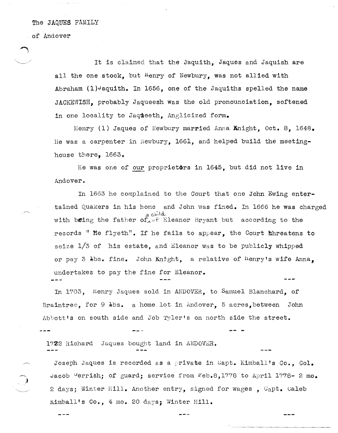## The JAQUES FAMILY

of Andover

It is claimed that the Jaquith, Jaques and Jaquish are all the one stock, but <sup>H</sup>enry of Newbury, was not allied with Abraham  $(1)$ <sup>J</sup>aquith. In 1656, one of the Jaquiths spelled the name JACKEWISH, probably Jaqueesh was the old pronounciation, softened in one locality to Jaqueeth. Anglicized form.

Henry (1) Jaques of Newbury married Anna Might, Oct. 8, 1648. He was a carpenter in Newbury, 1661, and helped build the meetinghouse tbere, 1663.

He was one of our proprietors in 1645, but did not live in Andover.

In 1663 he complained to the Court that one John Ewing entertained Quakers in his home and John was fined. In 1666 he was charged a child.<br>with being the father of, of Eleanor Bryant but according to the records " ite flyeth". If he fails to appear, the Court Linreatens to seize  $1/3$  of his estate, and Eleanor was to be publicly whipped or pay 3 lbs. fine. John Knight, a relative of henry's wife Anna, undertakes to pay the fine for Eleanor. ---

In 1703, Henry Jaques sold in ANDOVER, to Samuel Blanchard, of Braintree, for  $9 \text{ } \frac{1}{4}$ bs. a home lot in Andover, 5 acres, between John Abbott's on south side and Job Tyler's on north side the street.

 $1722$  Richard Jaques bought land in ANDOVER.

Joseph Jaques is recorded as a private in Capt. Kimball's Co., Col. Jacob <sup>u</sup>errish; of guard; service from  $F$ eb.8,1778 to April 1778- 2 mo. 2 days; Winter Hill. Another entry, signed for wages, Capt. Caleb Kimball's Co., 4 mo. 20 days; Winter Hill.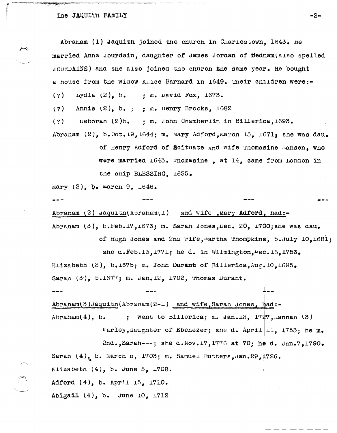Abranam (1) Jaquith joined the church in Charlestown, 1643, he married Anna Jourdain, daughter of James Jordan of Bedham(also spelled JOURDAINE) and sne also joined the church the same year. He bought a house from the widow Alice Barnard in 1649. Their children were:-

Lydia  $(2)$ , b. : m. David Fox, 1673.  $(2)$ 

Annis  $(2)$ , b.; : m. Henry Brooks, 1682  $(2)$ 

 $(?)$  $\n *Deboran* (2)*b*$ , ; m. John Chamberlin in Billerica, 1693.

Abraham  $(2)$ , b. Oct. 19, 1644; m. Mary Adford, March 13, 1671; she was dau. of Henry Adford of Scituate and wife Thomasine Mansen. who

> were married 1643. Thomasine, at 14, came from London in the snip BLESSInG. 1635.

Mary  $(2)$ , b. march 9,  $1646$ .

Abraham  $(2)$  Jaquith(Abraham(1) and wife , mary Adford, had:-Abranam (3), b.Feb.17.1673; m. Saran Jones.Dec. 20, 1700; she was dau.

of Hugh Jones and 2nd wife, martha Thompkins, b. July 10, 1681; she a.Feb.13,1771; he d. in Wilmington, wec.18,1753. Elizabeth (3), b.1675; m. John Durant of Billerica, Aug. 10, 1695. Saran  $(3)$ , b.1677; m. Jan.12, 1702, Thomas Durant.

Abranam(3)Jaquitn(Abranam(2-1) and wife, Saran Jones, had:-Abraham $(4)$ , b. ; went to Billerica; m. Jan.13,  $1727$ , mannan (3)

Farley, daughter of Ebenezer; sne d. April |11, 1753; he m. 2nd., Sarah---; she d. Nov. 17, 1776 at 70: he d. Jan.7, 1790. Sarah  $(4)$ , b. March 8, 1703; m. Samuel Butters, Jan. 29, 1726. Elizabeth  $(4)$ , b. June 5, 1708. Adford (4), b. April 15, 1710.

Abigail (4), b. June 10, 1712

-2-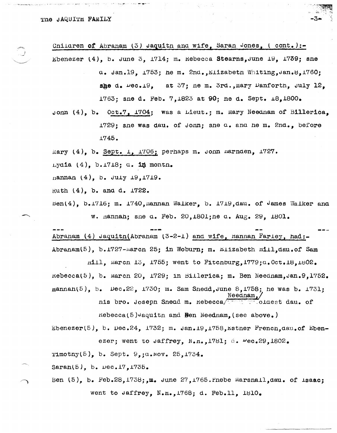Children of Abraham (3) Jaquith and wife, Sarah Jones, (cont.):-Ebenezer  $(4)$ , b. June 3, 1714; m. Rebecca Stearns, June 19, 1739; sne a. Jan.19, 1753; he m. 2nd., Elizabeth Whiting. Jan.8.1760: she d.  $\mu$ ec.19, at 37; ne m. 3rd., mary Danforth, July 12. 1763; sne d. Feb. 7.1823 at 90; ne d. Sept. 18,1800.

Jonn (4), b. Oct.7, 1704; was a Lieut.; m. Mary Neednam of Billerica. 1729; sne was dau. of Jonn; sne a. and he m. 2nd., before  $1745.$ 

Mary  $(4)$ , b. Sept. 1, 1706; perhaps m. Jonn narnden, 1727.

Lydia  $(4)$ , b.1718; d. in month.

mannan  $(4)$ , b. July 19, 1719.

Ruth (4), b. and d. 1722.

 $ben(4)$ ,  $b.1716$ ; m. 1740, mannan Walker, b. 1719, dau. of James Walker and w. nannah; she q. Feb. 20, 1801; ne q. Aug. 29, 1801.

Abranam (4) Jaquitn(Abranam (3-2-1) and wife, Hannan Fariey, had:-Abranam(5), b.1727-marcn 25; in Woburn; m. Elizabeth mill.dau.of Sam

 $m111$ , march 13, 1755; went to Fitchburg, 1779; $a.$  Oct. 18, 1802. Rebecca(5), b. march 20, 1729; in Billerica; m. Ben Neednam.Jan.9.1752.  ${\tt nannan}(5)$ , b. Dec.22, 1730; m. Sam Snedd, June 8, 1758; he was b. 1731;

nis bro. Joseph Snead m. Rebecca/ Coldest day. of

 $r = mc^2$ ,  $\frac{1}{2}$   $\frac{1}{2}$   $\frac{1}{2}$   $\frac{1}{2}$   $\frac{1}{2}$   $\frac{1}{2}$   $\frac{1}{2}$   $\frac{1}{2}$   $\frac{1}{2}$   $\frac{1}{2}$   $\frac{1}{2}$   $\frac{1}{2}$   $\frac{1}{2}$   $\frac{1}{2}$   $\frac{1}{2}$   $\frac{1}{2}$   $\frac{1}{2}$   $\frac{1}{2}$   $\frac{1}{2}$   $\frac{1}{2}$   $\frac{1}{2}$   $\$ 

Ebenezer(5), b. Dec.24, 1732; m. Jan.19, 1758, Esther French, dau. of Ebenezer; went to Jaffrey, N.n., 1781; d. Pec.29, 1802.

Timothy(5), b. Sept.  $9, 4.1000$ .  $25, 1734$ .

Saran(5), b. Dec. 17, 1735.

Ben  $(5)$ , b. Feb.28, 1738; m. June 27, 1765. Phebe Marshall, dau. of Isaac; went to Jaffrey, N.H., 1768; d. Feb.11, 1810.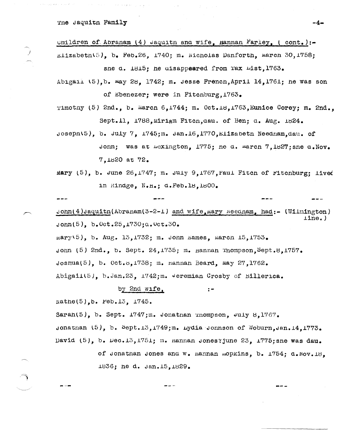The Jaquith Family

unildren of Abranam (4) Jaquitn and wife, Hannan Farley, (cont.):-Elizabeth(5), b. Feb.26, 1740; m. Nicholas Danforth, March 30, 1758;

sne d. 1815; he aisappeared from Tax List. 1763.

Abigail (5), b. may 28, 1742; m. Jesse French, April 14, 1761; he was son of Ebenezer; were in Fitchburg, 1763.

Timothy (5) 2nd., b. March 6,1744; m. Oct.18,1763, Eunice Corey; m. 2nd., Sept.11, 1788. Miriam Fitch.dau. of Ben: d. Aug. 1824.

 $Josepn(5)$ , b.  $July 7$ ,  $I745; m. Jan.16, 1770, 112a$ beth Neednam, dau. of

Jonn; was at Lexington, 1775; he d. march 7,1827; she a. Nov. 7.1820 at 72.

mary  $(5)$ , b. June  $26,1747$ ; m. July 9.1767. Paul Fitch of Fitchburg: lived in Rindge, N.H.; d.Feb.18,1800.

John(4)Jaquitn(Abraham(3-2-1) and wife, mary Needham, had:- (Wilmington)  $line.$ )  $\text{John}(5)$ , b.0ct.25,1730; $\alpha$ .0ct.30.

mary(5), b. Aug. 13, 1732; m. John Eames, March  $15.1753$ .

John  $(5)$  2nd., b. Sept. 24, 1735; m. Hannan Thompson, Sept.8, 1757.

Joshua(5), b. Oct.  $5/1738$ ; m. Hannan Beard, May 27, 1762.

Abigail(5), b.Jan.23, 1742; m. Jeremian Crosby of Billerica.

by 2nd wife,  $\mathbf{r}$ 

Nathe $(5)$ , b. Feb.13, 1745.

---

Sarah $(5)$ , b. Sept. 1747; m. Jonathan Thompson, July 8,1767.

Jonathan  $(5)$ , b.  $Sept.13,1749; m$ . Lydia Jonnson of Woburn, Jan.14.1773. David  $(5)$ , b. Dec.13, 1751; m. nannan Jones?june 23, 1775; sne was dau.

> of Jonathan Jones and W. nannan Lopkins, b. 1754; d. Nov. 18. 1836; he d. Jan.15, 1829.

$$
\bullet\hspace{0.7mm}\bullet\hspace{0.7mm}\bullet\hspace{0.7mm}\bullet
$$

-4-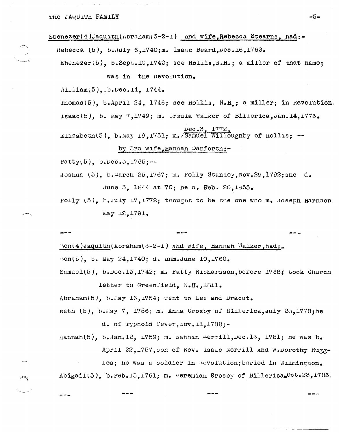THE JAQUITH FAMILY

Ebenezer(4)Jaquitn(Abraham(3-2-1) and wife, Rebecca Stearns, nad:-Rebecca (5), b. July 6.1740;m. Isaac Beard. Dec. 16.1762. Ebenezer(5), b.Sept.10, 1742; see Hollis, N.H.; a miller of that name; was in the Revolution. William(5)..b. $\upsilon$ ec.14. 1744. Thomas(5), b.April 24, 1746; see nollis, N.H.; a miller; in Revolution. Isaac(5), b. May 7,1749; m. Ursula Walker of Billerica, Jan. 14, 1773.  $\frac{\text{pec.3, }1772}{\text{ELizabeth}(5)}$ , b.May 19,1751; m./Samuel Willoughby of mollis; --

## by 3rd wife, Hannan Danforth:-

Patty(5),  $b. \text{Dec.5, } 1765; --$ 

- Joshua (5). b. march 25, 1767; m. Polly Stanley, Nov. 29, 1792; she d. June 3. 1844 at 70; he a. Feb. 20.1853.
- Polly  $(5)$ , b.July 17,1772; thought to be the one who m. Joseph Harnden May 12, 1791.

Ben(4) Jaquitn(Abraham(3-2-1) and wife, Hannah Walker, had: Ben(5), b. May 24, 1740; d. unm. June 10, 1760.

Samuel(5), b.Dec.13,1742; m. ratty Richardson, before 1768; took Church letter to Greenfield. N.H., 1811.

Abraham(5), b. May 16, 1754; went to Lee and Dracut.

nath (5), b.May 7, 1756; m. Anna Crosby of Billerica, July 28, 1778; he d. of rypnoid fever, Nov. 11, 1788;-

 ${\tt Hamnah}(5)$ ,  ${\tt b. Jan.12}$ , 1759; m. Nathan merrill, Dec.13, 1781; he was  ${\tt b.}$ April 22, 1757, son of Rev. isaac merrill and w. Dorothy Rugg-

les; he was a soldier in Mevolution; buried in Wilmington. Abigail(5), b.reb.13,1761; m. Jeremian Brosby of Billerica, Oct.23,1783.

–5–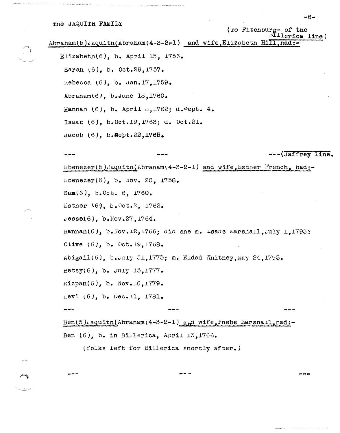Abranam(5)Jaquitn(Abranam(4-3-2-1) and wife, Elizabeth Hill, had:-

```
Elizabeth(6), b. April 15, 1756.
Sarah (6), b. Oct.29, 1757.
Rebecca (6), b. Jan. 17, 1759.
Abraham(6), b.June 18,1760.
Hannan (6), b. April \sigma, 1762; d. \frac{1}{2}ept. 4.
Isaac (6), b. Oct. 19, 1763; d. Oct. 21.
Jacob (6), b.Sept.22,1765.
```
Ebenezer(5)Jaquitn(Abraham(4-3-2-1) and wife, Estner French, had: $b = 20$ ,  $b = 20$ ,  $1758$ . Sam(6), b.Oct. 6, 1760. Esther 164, b.Oct.2, 1762. Jesse(6),  $b \cdot \text{Nov.} 27, 1764.$ nannah(6), b.Nov.12,1766; did sne m. Isaac Marshall, July 1,1793? Olive  $(6)$ , b. Oct.19,1768. Abigail(6), b.July 31,1773; m. Eidad Whitney, May 24,1795. Betsy $(6)$ , b. July 15, 1777.  $\texttt{Kipan}(6)$ , b. Nov.16,1779. Levi (6), b. Dec.11, 1781. Ben(5)Jaquitn(Abraham(4-3-2-1) and wife, Phebe Marshall, nad:-Ben  $(6)$ , b. in Billerica, April 13,1766.

(folks left for Billerica shortly after.)

 $-6-$ 

--- (Jaffrey line.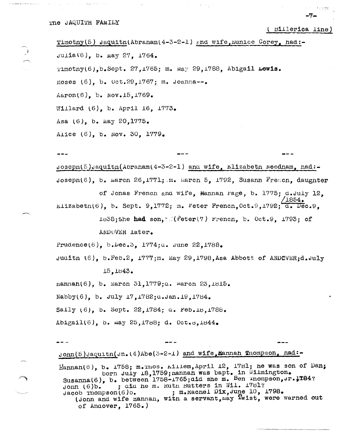$- - -$ 

(Billerica line)

 $-7-$ 

Timotny(5) Jaquitn(Abraham(4-3-2-1) and wife, Eunice Corey, had:- $J$ ulia $V6$ ), b. may 27, 1764. Timotny(6).b.Sept. 27,1765; m. May 29,1788, Abigail Lewis. Moses  $(6)$ , b. 0ct.29,1767; m. Joanna--. Aaron(6), b.  $Nov.15,1769.$ Willard  $(6)$ , b. April 16, 1773. Asa (6), b. May 20,1775. Alice (6), b. Nov. 30, 1779.

 $\sigma$  Joseph(5) Jaquith(Abraham(4-3-2-1) and wife, Elizabeth Needham, had:-Joseph(6), b. march 26, 1771; m. march 5, 1792, Susann French, daughter of Jonas French and wife, Hannan rage, b. 1775; d.July 12,  $^{\prime}$ 1854. Elizabeth(6). b. Sept. 9.1772; m. Feter French. Oct. 9.1792; d. Dec. 9. 1838; she had son, the (Peter(7) French, b. Oct.9, 1793; of ANDOVER Later. Prudence(6), b. bec. 3, 1774; u. June 22, 1788.

Juditn (6), b.Feb.2, 1777;m. May 29,1798, Asa Abbott of ANDOVER;d.July 15.1843.

Hannah(6), b. March 31,1779; a. March 23, 1815.

Nabby(6), b. July 17, 1782;  $a$ . Jan. 19, 1784.

Sally (6), b. Sept. 22, 1784; a. Feb. 18, 1788.

Abigail(6), b. may 25,1788; d. Oct.s,1844.

John(5) Jaquitn(Jn. (4) Abe(3-2-1) and wife, Hannah Thompson, had:-

Hannan(6), b. 1758; m. Thos. Killem, April 12, 1781; he was son of Dan; born July 18,1759; nannan was bapt. in Wilmington. Susanna(6), b. between 1758-1765; aid she m. Ben Inompson, Jr. 1784? ; did he m. Rutn Butters in Wil. 1781?  $\text{John } (6)$ b. ; m. Racnel Dix, June 10, 1798.  $Jacob$  Thompson $(6)$ <sub>o</sub>. (John and wife Hannan, with a servant, may Twist, were warned out of Andover,  $1765.$ )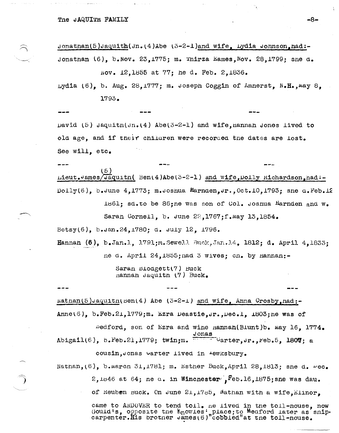Jonathan(5)Jaquith(Jn.(4)Abe  $(3-2-1)$  and wife. Lydia Johnson.had:-Jonathan  $(6)$ , b. Nov. 23, 1775; m. Thirza Eames, Nov. 28, 1799; sne d.

Nov. 12,1855 at 77: he d. Feb. 2,1836.

Lydia (6), b. Aug. 28, 1777; m. Joseph Coggin of Amnerst, N.H., may 8, 1793.

 $pavid (5)$  Jaquith(Jn.(4) Abe(3-2-1) and wife, hannah Jones lived to old age, and if their children were recorded the dates are lost. See will, etc.

(5) Lieut.James/Jaquitn( Ben(4)Abe(3-2-1) and wife, Dolly Richardson, had:-Dolly(6), b.June 4,1773; m.Joshua Marnden, Jr., Oct. 10,1793; sne  $a$ . Feb. 12 1861; sd.to be 86; ne was son of Col. Joshua Harnden and w. Saran Cornell, b. June  $22,1767; f$ . May 13,1854. Betsy(6), b. Jan. 24, 1780; d. July 12, 1796.

Hannah (6), b.Jan.1, 1791;m.Sewell Buck.Jan.14, 1812; d. April 4.1833; ne d. April 24, 1855; nad 3 wives; cn. by Hannan:-

> Saran Blodgett(7) Buck nannah Jaquith (7) Buck.

 $National(5)$  Jaquith(Ben(4) Abe (3-2-1) and wife, Anna Crosby, had:-Anne(6), b.Feb.21,1779;m. Ezra Deastie, Jr., Dec.1, 1803; he was of

 $Pedford$ , son of Ezra and wine nannan(Biunt)b. May 16. 1774. 

cousin.Jonas varter lived in tewksbury.

Nathan,  $(6)$ , b.marcn 31, 1781; m. Esther Buck, April 28, 1813; she d.  $\nu$ ec.  $2,1846$  at 64; ne a. in Winchester  $F^c$ , Feb.16, 1875; she was dau. of Reuben Buck. On June 21, 1785, Mathan with a wife, Elinor, came to ANDOVER to tend toll. ne lived in the toll-nouse, now Gould's, opposite the Knowles' place; to Medford later as snip-carpenter. His brother James(6)"cobbied" at the toll-nouse.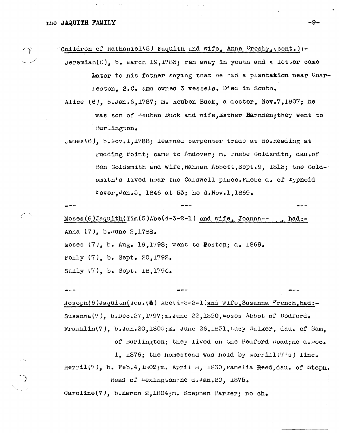Tne **JAQUITH** FAMILY **-9-**

Cnildren of Nathaniel\5) Saquith and wife, Anna Urosby,  $\text{cont.}$ :- $Jeremian(6)$ , b. Marcn 19,1783; ran away in youth and a letter came later to his father saying that he had a plantation near Unarleston, S.C. amu owned 3 vessels. Died in South.

Alice  $(6)$ , b.Jan. $6,1787$ ; m. keuben Buck, a  $\arctan$ , Nov. $7,1807$ ; he was son of *lieuben buck* and wife, *Esther Harnden*; they went to Burlington.

James\6), b.Nov.1,1788; learned carpenter trade at No.Heading at rudding roint; came to Andover; m. rnebe Goldsmitn, dau.of Ben Goldsmith and wife, Hannan Abbott, Sept. 9, 1813; tne Gold-' smitn's lived near tne Caldwell place. Pnebe d. of Typhoid Fever, Jan. 5, 1846 at 53; he d. Nov. 1, 1869.

Moses(6)Jaquith(Tim(5)Abe(4-3-2-1) and wife, Joanna-- Anna (7), b.June 2,1788. moses  $(7)$ , b. Aug. 19,1798; went to Boston; d. 1869. .poJ.ly (7), b. Sept. 20,1792. Sally  $(7)$ , b. Sept.  $18,1794.$  $\mathtt{had:}-$ 

Josepn(6)Jaquitn(Jos.(8) Abe(4-3-2-1)and wife, Susanna Frencn.had:-Susanna(7), b.Dec.27,1797; m. June  $22,1820$ , moses Abbot of Bedford. Franklin(7), b.Jan.20,1800;m. June 26,1831, Lucy Walker, dau. of Sam.

of Burlington; tney lived on the Bedford .noad;ne d. Dec.

1,  $i876$ ; tne homestead was held by merrill (7's) line.

Merril(7), b. Feb.4,1802;m. April 8, 1830, ramelia  $\texttt{Reed,}$ dau. of Steph. Read of  $-$ exington;he d.Jan.20, 1875.

 $Caroline(7)$ , b. Marcn 2,1804;m. Stepnen Parker; no ch.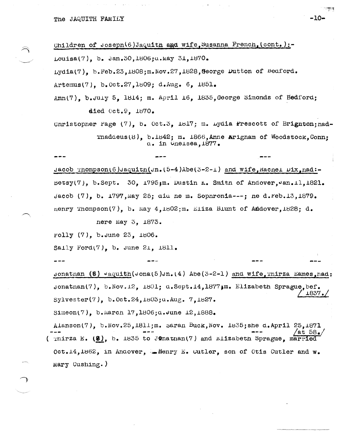Children of Joseph(6) Jaquith and wife, Susanna French, (cont.) :-Louisa(7). b. Jan. 30.1806; a. May 31.1870. Lydia(7). b.Feb.23.1808;m.Nov.27,1828, Seorge Dutton of Bedford. Artemus(7),  $b_{\bullet}$  Oct. 27, 1809; d. Aug. 6, 1851.

Ann(7), b. July 5, 1814; m. April 16, 1835, George Simonds of Bedford; died Oct. 9. 1870.

Unristopher Page (7), b. Oct.3, 1817; m. Lydia Prescott of Brignton: nad-Thaddeus(8),  $b.1842$ ; m. 1866, Anne Arigham of Woodstock, Conn; a. in Uneisea.1877.

Jacob Thompson(6)Jaquith(Jn.(5-4)Abe(3-2-1) and wife, Machel  $pix_{n}$  and:-Betsy(7), b.Sept. 30, 1795; m. Dustin K. Smith of Andover, Jan. 11, 1821. Jacob (7), b. 1797, May 25; did ne m. Sophronia---; ne d.reb.13, 1879. nenry Thompson(7). b. May  $4.1802$ ; m. Eliza Blunt of Addover. 1828; d.

nere May 3, 1873.

rolly (7), b. June 23, 1806.

Saily Ford(7), b. June 21,  $1811.$ 

Jonathan (5)  $v$ aquith(Jona(5)Jn.(4) Abe(3-2-1) and wife inirza Eames had: Jonathan(7), b. Nov. 12, 1801; d. Sept. 14, 1877; m. Elizabeth Sprague. bef. 1837. Sylvester(7),  $b.0ct.24,1803; a. Aug. 7,1827.$ 

Simeon(7), b.March 17,1806;d.June 12,1888.

Alanson(7), b. Nov. 25, 1811; m. saran Buck, Nov. 1835; she d. April 25, 1871 (Thirza E.  $(8)$ , b. 1835 to J@nathan(7) and Elizabeth Sprague, married Oct.14,1862, in Andover, Lienry E. Cutler, son of Otis Cutler and w. Mary Cushing.)

-10-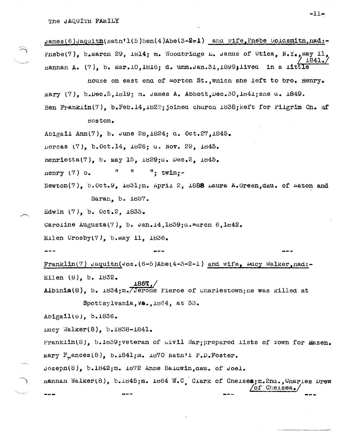$\texttt{James}(6)$  Jaquith( $\texttt{Math1}(5)$ Ben(4)Abe(3-2-1) and wife, Phebe Goldsmith,  $\texttt{nad}$ :-Pnebe(7). b.Marcn 29, 1814; m. Woodbridge L. Janus of Utica, N.Y., May 11,  $1841.$ nannan A.  $(7)$ , b. Mar.10,1816; d. unm.Jan.31,1899;1ived in a litt.

nouse on east ena of morton St., which she left to bro. Henry. mary (7), b.Dec.5.1819; m. James A. Abbott.Dec.30.1841; sne a. 1849. Ben Franklin(7), b.Feb.14,1822; joined church 1838; keft for Filgrim Ch. of

Boston.

Abigail Ann(7), b. June 28, 1824; d. Oct. 27, 1845.

porcas (7), b. Oct. 14, 1826; u. Nov. 29, 1845.

nenrietta(7), b. may 15, 1829;a. Dec.2, 1845.

Ħ  $\pmb{\mathfrak{m}}$  $"$ : twin:nenry  $(7)$  b.

Newton(7),  $b.0ct.9$ ,  $1d31$ ; m. April 2, 1888 Laura A. Green, dau. of Eaton and

Saran, b. 1857.

Edwin (7), b. Oct.2, 1833.

Caroline Augusta(7), b.  $\tan 14, 1859; \alpha$ . March 6,  $1842$ .

Ellen  $Crosby(7)$ , b.may 11, 1836.

Franklin(7) Jaquitn(Jos.(6-5)Abe(4-3-2-1) and wife,  $u_{\text{avg}}$  Walker, nad:-Ellen (8), b. 1832.

 $\texttt{Albinia}(8)$ , b.  $\texttt{1834; m.}$  (Jerome Pierce of Unarlestown; ne was killed at

Spottsylvania, Va., 1864, at 33.

Abigail(b), b.1836.

Lucy Walker(8), b.1838-1841.

Franklin(8), b.1839; veteran of wivil War; prepared lists of rown for Hazen. mary  $F_n$ ances(8), b.1841; m. 1870 Natn'i P.D. Foster.

Joseph(8), b.1842;m. 1872 Anne Balawin.dau. of Joel.

Hannan Walker(8), b.1845;m. 1864 W.C. Clark of Cheises;m.2nu., Charles Drew  $\sqrt{\text{of} \ \text{CheLsea}}$ 

 $-11-$